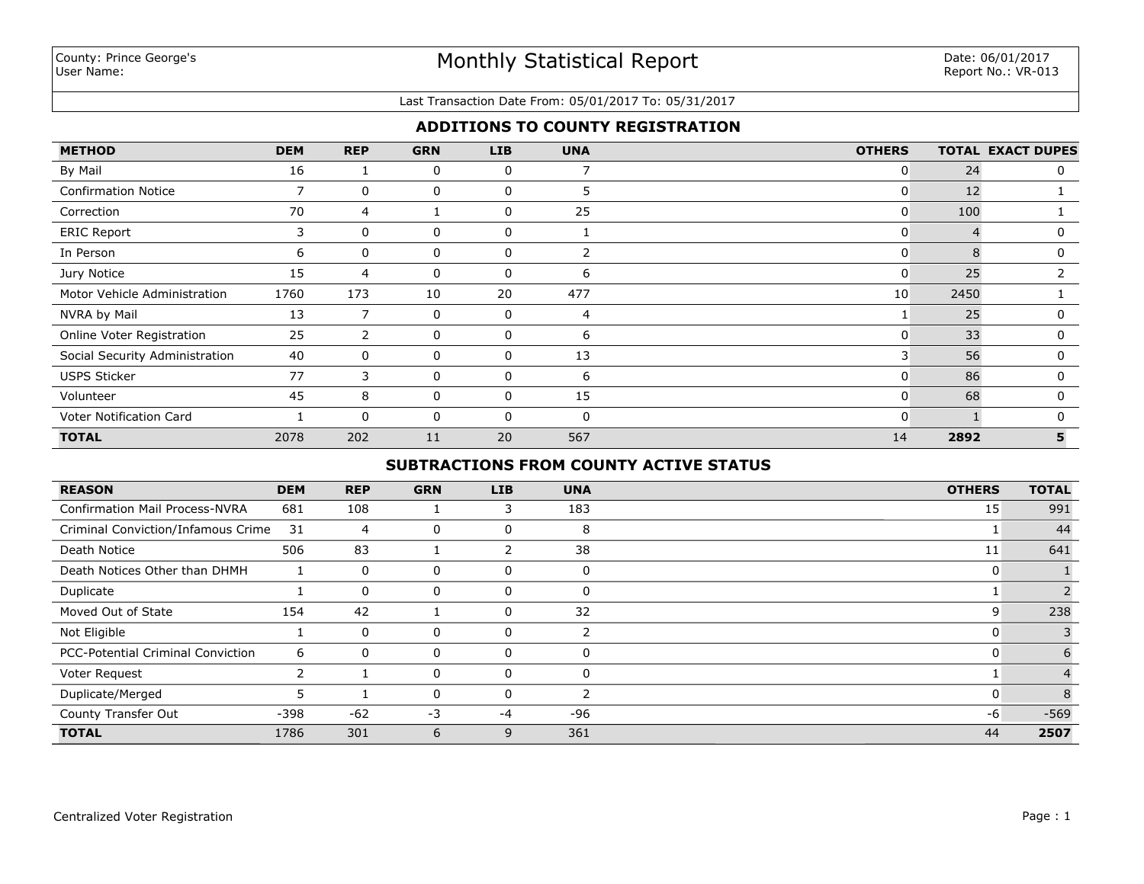### Last Transaction Date From: 05/01/2017 To: 05/31/2017

## **ADDITIONS TO COUNTY REGISTRATION**

| <b>METHOD</b>                  | <b>DEM</b>     | <b>REP</b> | <b>GRN</b> | <b>LIB</b>   | <b>UNA</b> | <b>OTHERS</b>  |      | <b>TOTAL EXACT DUPES</b> |
|--------------------------------|----------------|------------|------------|--------------|------------|----------------|------|--------------------------|
| By Mail                        | 16             |            | 0          | 0            | 7          | $\overline{0}$ | 24   | 0                        |
| <b>Confirmation Notice</b>     | $\overline{7}$ | 0          | 0          | $\mathbf 0$  | 5          | $\mathbf{0}$   | 12   |                          |
| Correction                     | 70             | 4          |            | 0            | 25         | $\overline{0}$ | 100  |                          |
| <b>ERIC Report</b>             | 3              | 0          | 0          | 0            |            | $\mathbf{0}$   |      | 0                        |
| In Person                      | 6              | 0          | 0          | 0            | 2          | $\mathbf{0}$   |      | 0                        |
| Jury Notice                    | 15             | 4          | 0          | 0            | 6          | $\mathbf{0}$   | 25   | 2                        |
| Motor Vehicle Administration   | 1760           | 173        | 10         | 20           | 477        | 10             | 2450 |                          |
| NVRA by Mail                   | 13             |            | 0          | 0            | 4          |                | 25   | $\Omega$                 |
| Online Voter Registration      | 25             | 2          | 0          | 0            | 6          | $\mathbf{0}$   | 33   | 0                        |
| Social Security Administration | 40             | 0          | 0          | 0            | 13         | 3              | 56   | $\Omega$                 |
| <b>USPS Sticker</b>            | 77             | 3          | 0          | 0            | 6          | $\mathbf{0}$   | 86   | 0                        |
| Volunteer                      | 45             | 8          | 0          | $\mathbf{0}$ | 15         | $\Omega$       | 68   | $\Omega$                 |
| Voter Notification Card        |                | $\Omega$   | 0          | $\mathbf{0}$ | $\Omega$   | $\mathbf{0}$   |      | $\Omega$                 |
| <b>TOTAL</b>                   | 2078           | 202        | 11         | 20           | 567        | 14             | 2892 | 5                        |

## **SUBTRACTIONS FROM COUNTY ACTIVE STATUS**

| <b>REASON</b>                         | <b>DEM</b> | <b>REP</b>     | <b>GRN</b> | <b>LIB</b> | <b>UNA</b>    | <b>OTHERS</b> | <b>TOTAL</b> |
|---------------------------------------|------------|----------------|------------|------------|---------------|---------------|--------------|
| <b>Confirmation Mail Process-NVRA</b> | 681        | 108            |            | 3          | 183           | 15            | 991          |
| Criminal Conviction/Infamous Crime    | 31         | $\overline{4}$ | 0          | 0          | 8             |               | 44           |
| Death Notice                          | 506        | 83             |            | 2          | 38            | 11            | 641          |
| Death Notices Other than DHMH         |            | 0              | 0          | 0          | $\Omega$      | 0             |              |
| Duplicate                             |            | 0              | 0          | 0          | $\Omega$      |               |              |
| Moved Out of State                    | 154        | 42             |            | 0          | 32            | 9             | 238          |
| Not Eligible                          |            | 0              | 0          | 0          |               | u             |              |
| PCC-Potential Criminal Conviction     | 6          | $\Omega$       | 0          | 0          | $\Omega$      | υ             | 6            |
| Voter Request                         | 2          |                | 0          | 0          | $\Omega$      |               |              |
| Duplicate/Merged                      |            |                | 0          | $\Omega$   | $\mathcal{P}$ | 0             | 8            |
| County Transfer Out                   | $-398$     | $-62$          | $-3$       | $-4$       | $-96$         | -6            | $-569$       |
| <b>TOTAL</b>                          | 1786       | 301            | 6          | 9          | 361           | 44            | 2507         |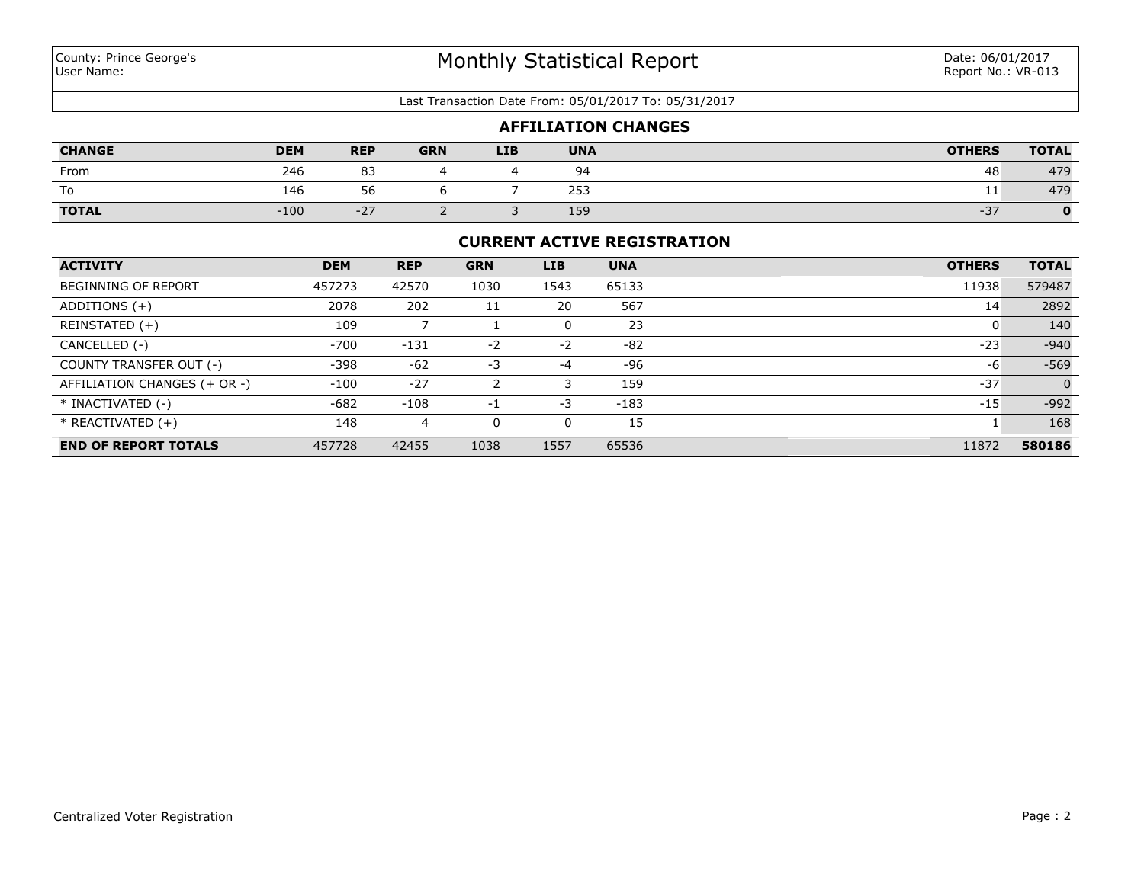#### Last Transaction Date From: 05/01/2017 To: 05/31/2017

|               |            |            |            |            |            | <b>AFFILIATION CHANGES</b> |               |              |
|---------------|------------|------------|------------|------------|------------|----------------------------|---------------|--------------|
| <b>CHANGE</b> | <b>DEM</b> | <b>REP</b> | <b>GRN</b> | <b>LIB</b> | <b>UNA</b> |                            | <b>OTHERS</b> | <b>TOTAL</b> |
| From          | 246        | 83         |            |            | 94         |                            | 48            | 479          |
| ١o            | 146        | 56         |            |            | 253        |                            | ᆠᆂ            | 479          |
| <b>TOTAL</b>  | $-100$     | $-27$      |            |            | 159        |                            | $-37$         | $\mathbf{O}$ |

### **CURRENT ACTIVE REGISTRATION**

| <b>ACTIVITY</b>              | <b>DEM</b> | <b>REP</b> | <b>GRN</b> | <b>LIB</b> | <b>UNA</b> | <b>OTHERS</b> | <b>TOTAL</b>   |
|------------------------------|------------|------------|------------|------------|------------|---------------|----------------|
| <b>BEGINNING OF REPORT</b>   | 457273     | 42570      | 1030       | 1543       | 65133      | 11938         | 579487         |
| ADDITIONS $(+)$              | 2078       | 202        | 11         | 20         | 567        | 14            | 2892           |
| REINSTATED (+)               | 109        |            |            | 0          | 23         |               | 140            |
| CANCELLED (-)                | $-700$     | $-131$     | $-2$       | $-2$       | $-82$      | $-23$         | $-940$         |
| COUNTY TRANSFER OUT (-)      | $-398$     | $-62$      | $-3$       | $-4$       | -96        | -6            | $-569$         |
| AFFILIATION CHANGES (+ OR -) | $-100$     | $-27$      |            |            | 159        | $-37$         | $\overline{0}$ |
| * INACTIVATED (-)            | $-682$     | $-108$     | $-1$       | -3         | $-183$     | $-15$         | $-992$         |
| $*$ REACTIVATED $(+)$        | 148        | 4          | 0          | 0          | 15         |               | 168            |
| <b>END OF REPORT TOTALS</b>  | 457728     | 42455      | 1038       | 1557       | 65536      | 11872         | 580186         |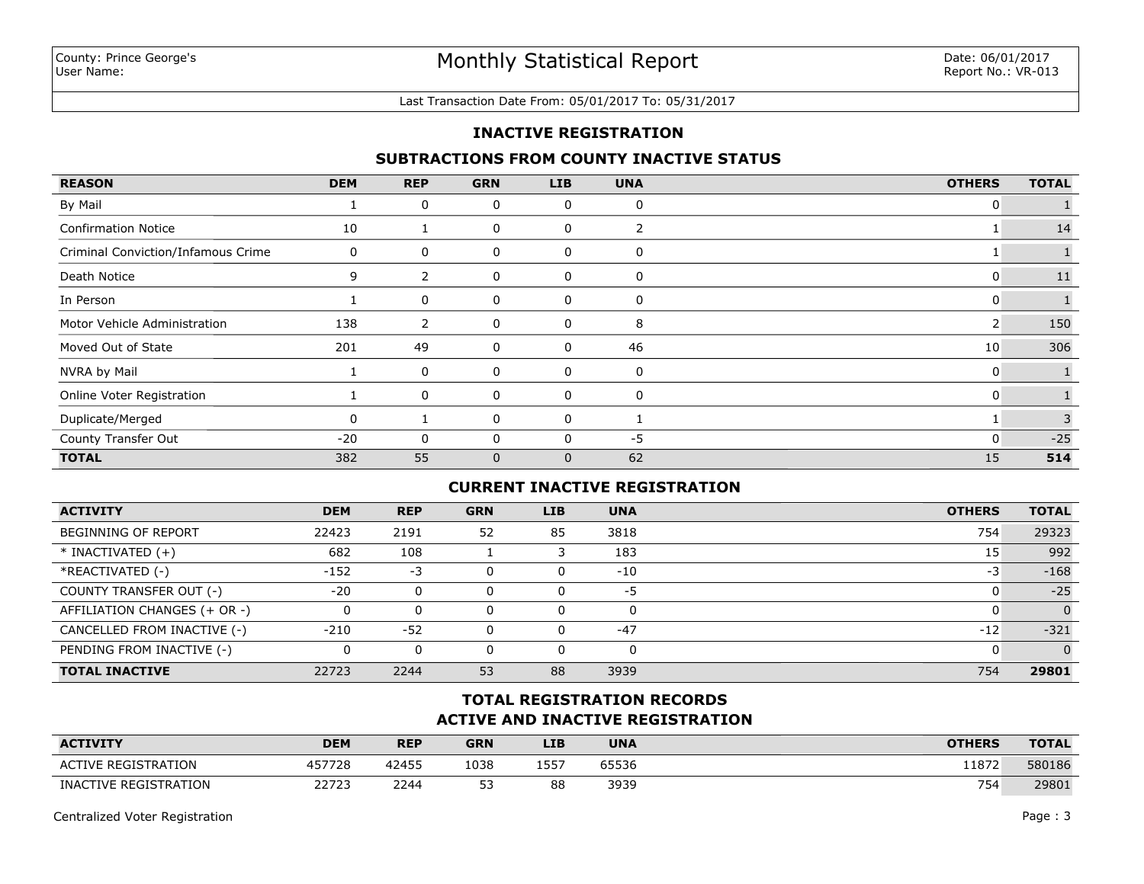#### Last Transaction Date From: 05/01/2017 To: 05/31/2017

## **INACTIVE REGISTRATION**

### **SUBTRACTIONS FROM COUNTY INACTIVE STATUS**

| <b>REASON</b>                      | <b>DEM</b> | <b>REP</b> | <b>GRN</b>   | <b>LIB</b> | <b>UNA</b> | <b>OTHERS</b>   | <b>TOTAL</b> |
|------------------------------------|------------|------------|--------------|------------|------------|-----------------|--------------|
| By Mail                            |            | 0          | 0            | 0          | 0          | 0               |              |
| <b>Confirmation Notice</b>         | 10         |            | 0            | 0          | 2          |                 | 14           |
| Criminal Conviction/Infamous Crime | 0          | 0          | 0            | 0          | 0          |                 |              |
| Death Notice                       | 9          | 2          | 0            | 0          | 0          | 0               | 11           |
| In Person                          |            | 0          | 0            | 0          | 0          | 0               |              |
| Motor Vehicle Administration       | 138        | 2          | 0            | 0          | 8          | 2               | 150          |
| Moved Out of State                 | 201        | 49         | 0            | 0          | 46         | 10 <sup>1</sup> | 306          |
| NVRA by Mail                       |            | 0          | 0            | 0          | 0          | 0               |              |
| Online Voter Registration          |            | 0          | 0            | 0          | 0          | $\mathbf{0}$    |              |
| Duplicate/Merged                   |            |            | 0            | 0          |            |                 | 3            |
| County Transfer Out                | $-20$      | 0          | $\mathbf{0}$ |            | -5         | $\mathbf{0}$    | $-25$        |
| <b>TOTAL</b>                       | 382        | 55         | $\mathbf{0}$ | 0          | 62         | 15              | 514          |

## **CURRENT INACTIVE REGISTRATION**

| <b>ACTIVITY</b>              | <b>DEM</b> | <b>REP</b> | <b>GRN</b> | <b>LIB</b> | <b>UNA</b> | <b>OTHERS</b> | <b>TOTAL</b>   |
|------------------------------|------------|------------|------------|------------|------------|---------------|----------------|
| BEGINNING OF REPORT          | 22423      | 2191       | 52         | 85         | 3818       | 754           | 29323          |
| $*$ INACTIVATED $(+)$        | 682        | 108        |            |            | 183        | 15            | 992            |
| *REACTIVATED (-)             | $-152$     | -3         |            | 0          | $-10$      | -3            | $-168$         |
| COUNTY TRANSFER OUT (-)      | $-20$      | $\Omega$   |            | 0          | -5         |               | $-25$          |
| AFFILIATION CHANGES (+ OR -) |            | 0          |            | 0          | $\Omega$   |               | $\Omega$       |
| CANCELLED FROM INACTIVE (-)  | $-210$     | $-52$      |            | 0          | $-47$      | $-12$         | $-321$         |
| PENDING FROM INACTIVE (-)    |            | $\Omega$   |            | 0          |            |               | $\overline{0}$ |
| <b>TOTAL INACTIVE</b>        | 22723      | 2244       | 53         | 88         | 3939       | 754           | 29801          |

# **ACTIVE AND INACTIVE REGISTRATION TOTAL REGISTRATION RECORDS**

| <b>ACTIVITY</b>            | <b>DEM</b> | <b>REP</b> | <b>GRN</b> | LIB  | <b>UNA</b> | <b>OTHERS</b> | <b>TOTAL</b> |
|----------------------------|------------|------------|------------|------|------------|---------------|--------------|
| <b>ACTIVE REGISTRATION</b> | 457728     | 42455      | 1038       | 1557 | 65536      | 11872         | 580186       |
| INACTIVE REGISTRATION      | 22723      | 2244       | 53<br>--   | 88   | 3939       | 754           | 29801        |